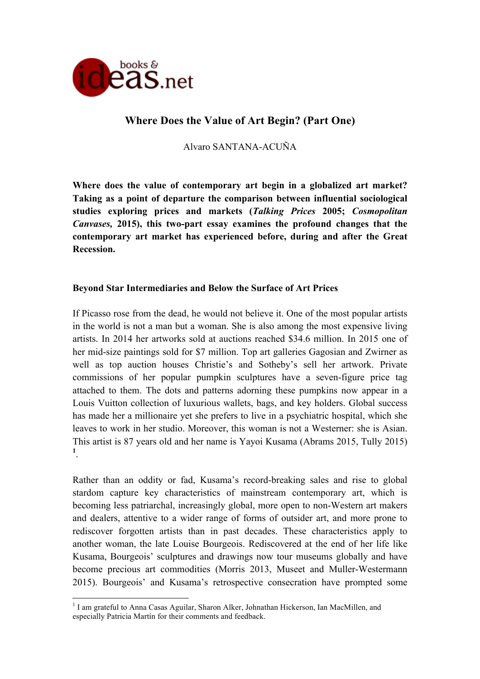

# **Where Does the Value of Art Begin? (Part One)**

Alvaro SANTANA-ACUÑA

**Where does the value of contemporary art begin in a globalized art market? Taking as a point of departure the comparison between influential sociological studies exploring prices and markets (***Talking Prices* **2005;** *Cosmopolitan Canvases,* **2015), this two-part essay examines the profound changes that the contemporary art market has experienced before, during and after the Great Recession.** 

## **Beyond Star Intermediaries and Below the Surface of Art Prices**

If Picasso rose from the dead, he would not believe it. One of the most popular artists in the world is not a man but a woman. She is also among the most expensive living artists. In 2014 her artworks sold at auctions reached \$34.6 million. In 2015 one of her mid-size paintings sold for \$7 million. Top art galleries Gagosian and Zwirner as well as top auction houses Christie's and Sotheby's sell her artwork. Private commissions of her popular pumpkin sculptures have a seven-figure price tag attached to them. The dots and patterns adorning these pumpkins now appear in a Louis Vuitton collection of luxurious wallets, bags, and key holders. Global success has made her a millionaire yet she prefers to live in a psychiatric hospital, which she leaves to work in her studio. Moreover, this woman is not a Westerner: she is Asian. This artist is 87 years old and her name is Yayoi Kusama (Abrams 2015, Tully 2015) **1** .

Rather than an oddity or fad, Kusama's record-breaking sales and rise to global stardom capture key characteristics of mainstream contemporary art, which is becoming less patriarchal, increasingly global, more open to non-Western art makers and dealers, attentive to a wider range of forms of outsider art, and more prone to rediscover forgotten artists than in past decades. These characteristics apply to another woman, the late Louise Bourgeois. Rediscovered at the end of her life like Kusama, Bourgeois' sculptures and drawings now tour museums globally and have become precious art commodities (Morris 2013, Museet and Muller-Westermann 2015). Bourgeois' and Kusama's retrospective consecration have prompted some

I am grateful to Anna Casas Aguilar, Sharon Alker, Johnathan Hickerson, Ian MacMillen, and especially Patricia Martín for their comments and feedback.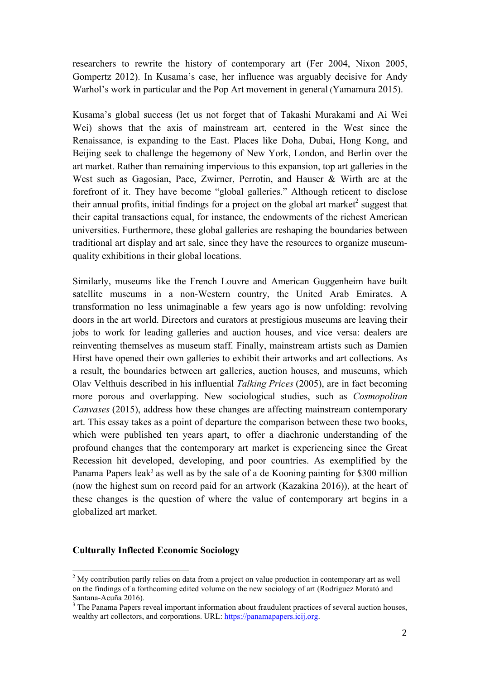researchers to rewrite the history of contemporary art (Fer 2004, Nixon 2005, Gompertz 2012). In Kusama's case, her influence was arguably decisive for Andy Warhol's work in particular and the Pop Art movement in general (Yamamura 2015).

Kusama's global success (let us not forget that of Takashi Murakami and Ai Wei Wei) shows that the axis of mainstream art, centered in the West since the Renaissance, is expanding to the East. Places like Doha, Dubai, Hong Kong, and Beijing seek to challenge the hegemony of New York, London, and Berlin over the art market. Rather than remaining impervious to this expansion, top art galleries in the West such as Gagosian, Pace, Zwirner, Perrotin, and Hauser & Wirth are at the forefront of it. They have become "global galleries." Although reticent to disclose their annual profits, initial findings for a project on the global art market<sup>2</sup> suggest that their capital transactions equal, for instance, the endowments of the richest American universities. Furthermore, these global galleries are reshaping the boundaries between traditional art display and art sale, since they have the resources to organize museumquality exhibitions in their global locations.

Similarly, museums like the French Louvre and American Guggenheim have built satellite museums in a non-Western country, the United Arab Emirates. A transformation no less unimaginable a few years ago is now unfolding: revolving doors in the art world. Directors and curators at prestigious museums are leaving their jobs to work for leading galleries and auction houses, and vice versa: dealers are reinventing themselves as museum staff. Finally, mainstream artists such as Damien Hirst have opened their own galleries to exhibit their artworks and art collections. As a result, the boundaries between art galleries, auction houses, and museums, which Olav Velthuis described in his influential *Talking Prices* (2005), are in fact becoming more porous and overlapping. New sociological studies, such as *Cosmopolitan Canvases* (2015), address how these changes are affecting mainstream contemporary art. This essay takes as a point of departure the comparison between these two books, which were published ten years apart, to offer a diachronic understanding of the profound changes that the contemporary art market is experiencing since the Great Recession hit developed, developing, and poor countries. As exemplified by the Panama Papers leak<sup>3</sup> as well as by the sale of a de Kooning painting for \$300 million (now the highest sum on record paid for an artwork (Kazakina 2016)), at the heart of these changes is the question of where the value of contemporary art begins in a globalized art market.

#### **Culturally Inflected Economic Sociology**

 $\frac{1}{2}$  My contribution partly relies on data from a project on value production in contemporary art as well on the findings of a forthcoming edited volume on the new sociology of art (Rodríguez Morató and Santana-Acuña 2016).

<sup>&</sup>lt;sup>3</sup> The Panama Papers reveal important information about fraudulent practices of several auction houses, wealthy art collectors, and corporations. URL: https://panamapapers.icij.org.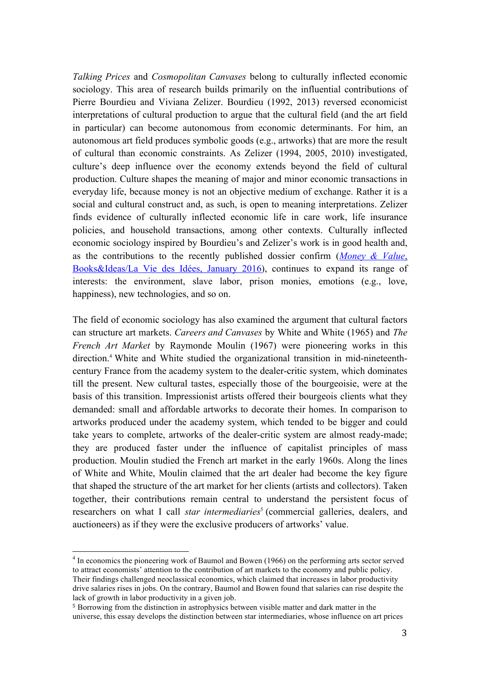*Talking Prices* and *Cosmopolitan Canvases* belong to culturally inflected economic sociology. This area of research builds primarily on the influential contributions of Pierre Bourdieu and Viviana Zelizer. Bourdieu (1992, 2013) reversed economicist interpretations of cultural production to argue that the cultural field (and the art field in particular) can become autonomous from economic determinants. For him, an autonomous art field produces symbolic goods (e.g., artworks) that are more the result of cultural than economic constraints. As Zelizer (1994, 2005, 2010) investigated, culture's deep influence over the economy extends beyond the field of cultural production. Culture shapes the meaning of major and minor economic transactions in everyday life, because money is not an objective medium of exchange. Rather it is a social and cultural construct and, as such, is open to meaning interpretations. Zelizer finds evidence of culturally inflected economic life in care work, life insurance policies, and household transactions, among other contexts. Culturally inflected economic sociology inspired by Bourdieu's and Zelizer's work is in good health and, as the contributions to the recently published dossier confirm (*Money & Value*, Books&Ideas/La Vie des Idées, January 2016), continues to expand its range of interests: the environment, slave labor, prison monies, emotions (e.g., love, happiness), new technologies, and so on.

The field of economic sociology has also examined the argument that cultural factors can structure art markets. *Careers and Canvases* by White and White (1965) and *The French Art Market* by Raymonde Moulin (1967) were pioneering works in this direction.4 White and White studied the organizational transition in mid-nineteenthcentury France from the academy system to the dealer-critic system, which dominates till the present. New cultural tastes, especially those of the bourgeoisie, were at the basis of this transition. Impressionist artists offered their bourgeois clients what they demanded: small and affordable artworks to decorate their homes. In comparison to artworks produced under the academy system, which tended to be bigger and could take years to complete, artworks of the dealer-critic system are almost ready-made; they are produced faster under the influence of capitalist principles of mass production. Moulin studied the French art market in the early 1960s. Along the lines of White and White, Moulin claimed that the art dealer had become the key figure that shaped the structure of the art market for her clients (artists and collectors). Taken together, their contributions remain central to understand the persistent focus of researchers on what I call *star intermediaries*<sup>5</sup> (commercial galleries, dealers, and auctioneers) as if they were the exclusive producers of artworks' value.

<sup>4</sup> In economics the pioneering work of Baumol and Bowen (1966) on the performing arts sector served to attract economists' attention to the contribution of art markets to the economy and public policy. Their findings challenged neoclassical economics, which claimed that increases in labor productivity drive salaries rises in jobs. On the contrary, Baumol and Bowen found that salaries can rise despite the lack of growth in labor productivity in a given job.

<sup>5</sup> Borrowing from the distinction in astrophysics between visible matter and dark matter in the universe, this essay develops the distinction between star intermediaries, whose influence on art prices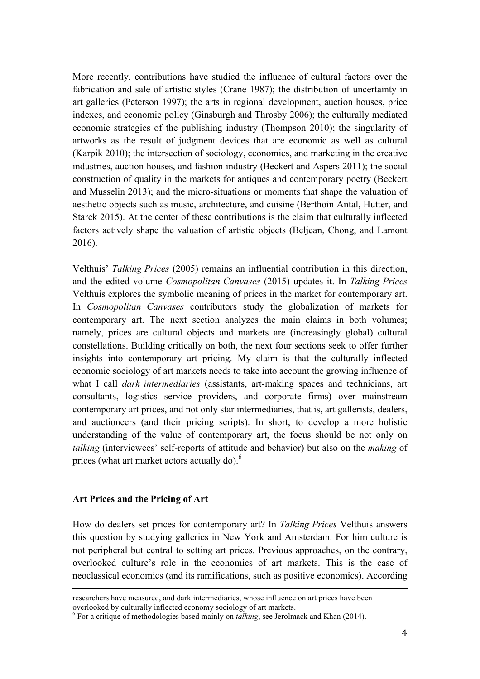More recently, contributions have studied the influence of cultural factors over the fabrication and sale of artistic styles (Crane 1987); the distribution of uncertainty in art galleries (Peterson 1997); the arts in regional development, auction houses, price indexes, and economic policy (Ginsburgh and Throsby 2006); the culturally mediated economic strategies of the publishing industry (Thompson 2010); the singularity of artworks as the result of judgment devices that are economic as well as cultural (Karpik 2010); the intersection of sociology, economics, and marketing in the creative industries, auction houses, and fashion industry (Beckert and Aspers 2011); the social construction of quality in the markets for antiques and contemporary poetry (Beckert and Musselin 2013); and the micro-situations or moments that shape the valuation of aesthetic objects such as music, architecture, and cuisine (Berthoin Antal, Hutter, and Starck 2015). At the center of these contributions is the claim that culturally inflected factors actively shape the valuation of artistic objects (Beljean, Chong, and Lamont 2016).

Velthuis' *Talking Prices* (2005) remains an influential contribution in this direction, and the edited volume *Cosmopolitan Canvases* (2015) updates it. In *Talking Prices* Velthuis explores the symbolic meaning of prices in the market for contemporary art. In *Cosmopolitan Canvases* contributors study the globalization of markets for contemporary art. The next section analyzes the main claims in both volumes; namely, prices are cultural objects and markets are (increasingly global) cultural constellations. Building critically on both, the next four sections seek to offer further insights into contemporary art pricing. My claim is that the culturally inflected economic sociology of art markets needs to take into account the growing influence of what I call *dark intermediaries* (assistants, art-making spaces and technicians, art consultants, logistics service providers, and corporate firms) over mainstream contemporary art prices, and not only star intermediaries, that is, art gallerists, dealers, and auctioneers (and their pricing scripts). In short, to develop a more holistic understanding of the value of contemporary art, the focus should be not only on *talking* (interviewees' self-reports of attitude and behavior) but also on the *making* of prices (what art market actors actually do).<sup>6</sup>

### **Art Prices and the Pricing of Art**

How do dealers set prices for contemporary art? In *Talking Prices* Velthuis answers this question by studying galleries in New York and Amsterdam. For him culture is not peripheral but central to setting art prices. Previous approaches, on the contrary, overlooked culture's role in the economics of art markets. This is the case of neoclassical economics (and its ramifications, such as positive economics). According

!!!!!!!!!!!!!!!!!!!!!!!!!!!!!!!!!!!!!!!!!!!!!!!!!!!!!!!!!!!!!!!!!!!!!!!!!!!!!!!!!!!!!!!!!!!!!!!!!!!!!!!!!!!!!!!!!!!!!!!!!!!!!!!!!!!!!!!!!!!!!!!!!!!!!!!!!!!!!!

researchers have measured, and dark intermediaries, whose influence on art prices have been overlooked by culturally inflected economy sociology of art markets.

<sup>&</sup>lt;sup>6</sup> For a critique of methodologies based mainly on *talking*, see Jerolmack and Khan (2014).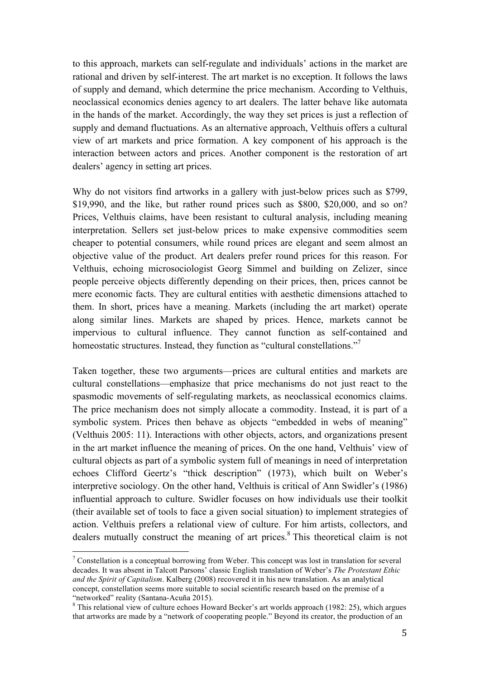to this approach, markets can self-regulate and individuals' actions in the market are rational and driven by self-interest. The art market is no exception. It follows the laws of supply and demand, which determine the price mechanism. According to Velthuis, neoclassical economics denies agency to art dealers. The latter behave like automata in the hands of the market. Accordingly, the way they set prices is just a reflection of supply and demand fluctuations. As an alternative approach, Velthuis offers a cultural view of art markets and price formation. A key component of his approach is the interaction between actors and prices. Another component is the restoration of art dealers' agency in setting art prices.

Why do not visitors find artworks in a gallery with just-below prices such as \$799. \$19,990, and the like, but rather round prices such as \$800, \$20,000, and so on? Prices, Velthuis claims, have been resistant to cultural analysis, including meaning interpretation. Sellers set just-below prices to make expensive commodities seem cheaper to potential consumers, while round prices are elegant and seem almost an objective value of the product. Art dealers prefer round prices for this reason. For Velthuis, echoing microsociologist Georg Simmel and building on Zelizer, since people perceive objects differently depending on their prices, then, prices cannot be mere economic facts. They are cultural entities with aesthetic dimensions attached to them. In short, prices have a meaning. Markets (including the art market) operate along similar lines. Markets are shaped by prices. Hence, markets cannot be impervious to cultural influence. They cannot function as self-contained and homeostatic structures. Instead, they function as "cultural constellations."<sup>7</sup>

Taken together, these two arguments—prices are cultural entities and markets are cultural constellations—emphasize that price mechanisms do not just react to the spasmodic movements of self-regulating markets, as neoclassical economics claims. The price mechanism does not simply allocate a commodity. Instead, it is part of a symbolic system. Prices then behave as objects "embedded in webs of meaning" (Velthuis 2005: 11). Interactions with other objects, actors, and organizations present in the art market influence the meaning of prices. On the one hand, Velthuis' view of cultural objects as part of a symbolic system full of meanings in need of interpretation echoes Clifford Geertz's "thick description" (1973), which built on Weber's interpretive sociology. On the other hand, Velthuis is critical of Ann Swidler's (1986) influential approach to culture. Swidler focuses on how individuals use their toolkit (their available set of tools to face a given social situation) to implement strategies of action. Velthuis prefers a relational view of culture. For him artists, collectors, and dealers mutually construct the meaning of art prices.<sup>8</sup> This theoretical claim is not

 $\frac{1}{7}$  Constellation is a conceptual borrowing from Weber. This concept was lost in translation for several decades. It was absent in Talcott Parsons' classic English translation of Weber's *The Protestant Ethic and the Spirit of Capitalism*. Kalberg (2008) recovered it in his new translation. As an analytical concept, constellation seems more suitable to social scientific research based on the premise of a "networked" reality (Santana-Acuña 2015). 8

<sup>&</sup>lt;sup>8</sup> This relational view of culture echoes Howard Becker's art worlds approach (1982: 25), which argues that artworks are made by a "network of cooperating people." Beyond its creator, the production of an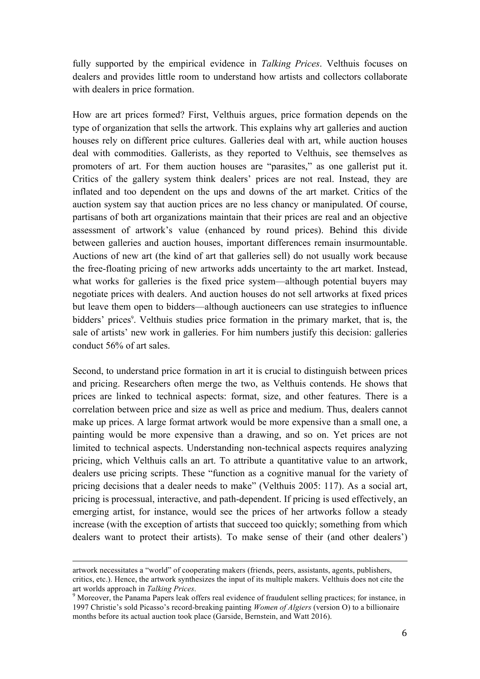fully supported by the empirical evidence in *Talking Prices*. Velthuis focuses on dealers and provides little room to understand how artists and collectors collaborate with dealers in price formation.

How are art prices formed? First, Velthuis argues, price formation depends on the type of organization that sells the artwork. This explains why art galleries and auction houses rely on different price cultures. Galleries deal with art, while auction houses deal with commodities. Gallerists, as they reported to Velthuis, see themselves as promoters of art. For them auction houses are "parasites," as one gallerist put it. Critics of the gallery system think dealers' prices are not real. Instead, they are inflated and too dependent on the ups and downs of the art market. Critics of the auction system say that auction prices are no less chancy or manipulated. Of course, partisans of both art organizations maintain that their prices are real and an objective assessment of artwork's value (enhanced by round prices). Behind this divide between galleries and auction houses, important differences remain insurmountable. Auctions of new art (the kind of art that galleries sell) do not usually work because the free-floating pricing of new artworks adds uncertainty to the art market. Instead, what works for galleries is the fixed price system—although potential buyers may negotiate prices with dealers. And auction houses do not sell artworks at fixed prices but leave them open to bidders—although auctioneers can use strategies to influence bidders' prices<sup>9</sup>. Velthuis studies price formation in the primary market, that is, the sale of artists' new work in galleries. For him numbers justify this decision: galleries conduct 56% of art sales.

Second, to understand price formation in art it is crucial to distinguish between prices and pricing. Researchers often merge the two, as Velthuis contends. He shows that prices are linked to technical aspects: format, size, and other features. There is a correlation between price and size as well as price and medium. Thus, dealers cannot make up prices. A large format artwork would be more expensive than a small one, a painting would be more expensive than a drawing, and so on. Yet prices are not limited to technical aspects. Understanding non-technical aspects requires analyzing pricing, which Velthuis calls an art. To attribute a quantitative value to an artwork, dealers use pricing scripts. These "function as a cognitive manual for the variety of pricing decisions that a dealer needs to make" (Velthuis 2005: 117). As a social art, pricing is processual, interactive, and path-dependent. If pricing is used effectively, an emerging artist, for instance, would see the prices of her artworks follow a steady increase (with the exception of artists that succeed too quickly; something from which dealers want to protect their artists). To make sense of their (and other dealers')

!!!!!!!!!!!!!!!!!!!!!!!!!!!!!!!!!!!!!!!!!!!!!!!!!!!!!!!!!!!!!!!!!!!!!!!!!!!!!!!!!!!!!!!!!!!!!!!!!!!!!!!!!!!!!!!!!!!!!!!!!!!!!!!!!!!!!!!!!!!!!!!!!!!!!!!!!!!!!!

artwork necessitates a "world" of cooperating makers (friends, peers, assistants, agents, publishers, critics, etc.). Hence, the artwork synthesizes the input of its multiple makers. Velthuis does not cite the art worlds approach in *Talking Prices*.

art worlds approach in *Talking*<br><sup>9</sup> Moreover, the Panama Papers leak offers real evidence of fraudulent selling practices; for instance, in 1997 Christie's sold Picasso's record-breaking painting *Women of Algiers* (version O) to a billionaire months before its actual auction took place (Garside, Bernstein, and Watt 2016).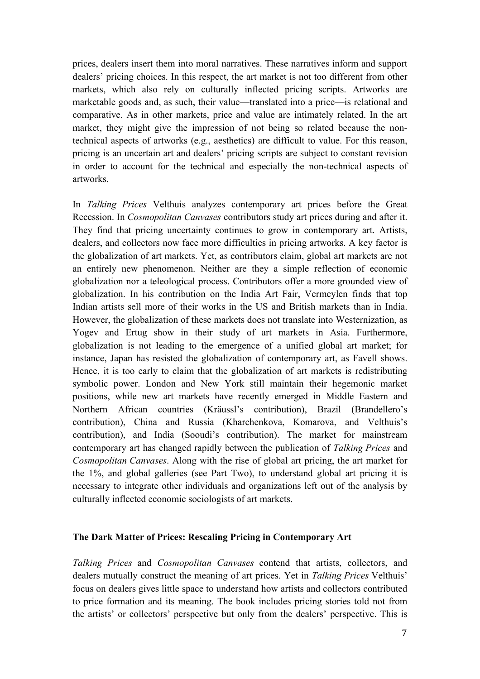prices, dealers insert them into moral narratives. These narratives inform and support dealers' pricing choices. In this respect, the art market is not too different from other markets, which also rely on culturally inflected pricing scripts. Artworks are marketable goods and, as such, their value—translated into a price—is relational and comparative. As in other markets, price and value are intimately related. In the art market, they might give the impression of not being so related because the nontechnical aspects of artworks (e.g., aesthetics) are difficult to value. For this reason, pricing is an uncertain art and dealers' pricing scripts are subject to constant revision in order to account for the technical and especially the non-technical aspects of artworks.

In *Talking Prices* Velthuis analyzes contemporary art prices before the Great Recession. In *Cosmopolitan Canvases* contributors study art prices during and after it. They find that pricing uncertainty continues to grow in contemporary art. Artists, dealers, and collectors now face more difficulties in pricing artworks. A key factor is the globalization of art markets. Yet, as contributors claim, global art markets are not an entirely new phenomenon. Neither are they a simple reflection of economic globalization nor a teleological process. Contributors offer a more grounded view of globalization. In his contribution on the India Art Fair, Vermeylen finds that top Indian artists sell more of their works in the US and British markets than in India. However, the globalization of these markets does not translate into Westernization, as Yogev and Ertug show in their study of art markets in Asia. Furthermore, globalization is not leading to the emergence of a unified global art market; for instance, Japan has resisted the globalization of contemporary art, as Favell shows. Hence, it is too early to claim that the globalization of art markets is redistributing symbolic power. London and New York still maintain their hegemonic market positions, while new art markets have recently emerged in Middle Eastern and Northern African countries (Kräussl's contribution), Brazil (Brandellero's contribution), China and Russia (Kharchenkova, Komarova, and Velthuis's contribution), and India (Sooudi's contribution). The market for mainstream contemporary art has changed rapidly between the publication of *Talking Prices* and *Cosmopolitan Canvases*. Along with the rise of global art pricing, the art market for the 1%, and global galleries (see Part Two), to understand global art pricing it is necessary to integrate other individuals and organizations left out of the analysis by culturally inflected economic sociologists of art markets.

#### **The Dark Matter of Prices: Rescaling Pricing in Contemporary Art**

*Talking Prices* and *Cosmopolitan Canvases* contend that artists, collectors, and dealers mutually construct the meaning of art prices. Yet in *Talking Prices* Velthuis' focus on dealers gives little space to understand how artists and collectors contributed to price formation and its meaning. The book includes pricing stories told not from the artists' or collectors' perspective but only from the dealers' perspective. This is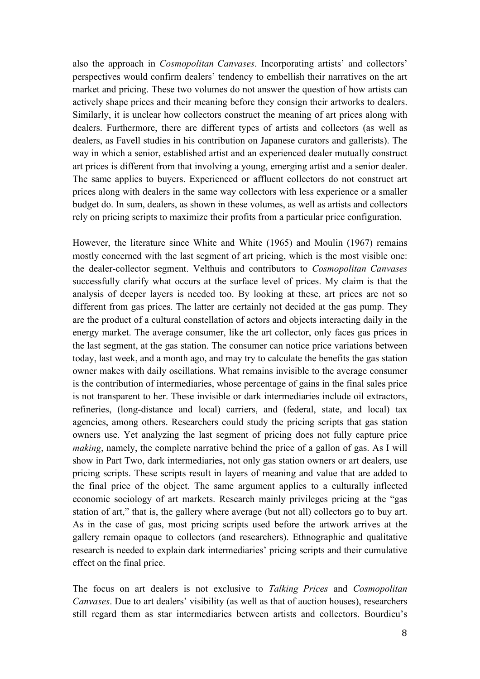also the approach in *Cosmopolitan Canvases*. Incorporating artists' and collectors' perspectives would confirm dealers' tendency to embellish their narratives on the art market and pricing. These two volumes do not answer the question of how artists can actively shape prices and their meaning before they consign their artworks to dealers. Similarly, it is unclear how collectors construct the meaning of art prices along with dealers. Furthermore, there are different types of artists and collectors (as well as dealers, as Favell studies in his contribution on Japanese curators and gallerists). The way in which a senior, established artist and an experienced dealer mutually construct art prices is different from that involving a young, emerging artist and a senior dealer. The same applies to buyers. Experienced or affluent collectors do not construct art prices along with dealers in the same way collectors with less experience or a smaller budget do. In sum, dealers, as shown in these volumes, as well as artists and collectors rely on pricing scripts to maximize their profits from a particular price configuration.

However, the literature since White and White (1965) and Moulin (1967) remains mostly concerned with the last segment of art pricing, which is the most visible one: the dealer-collector segment. Velthuis and contributors to *Cosmopolitan Canvases* successfully clarify what occurs at the surface level of prices. My claim is that the analysis of deeper layers is needed too. By looking at these, art prices are not so different from gas prices. The latter are certainly not decided at the gas pump. They are the product of a cultural constellation of actors and objects interacting daily in the energy market. The average consumer, like the art collector, only faces gas prices in the last segment, at the gas station. The consumer can notice price variations between today, last week, and a month ago, and may try to calculate the benefits the gas station owner makes with daily oscillations. What remains invisible to the average consumer is the contribution of intermediaries, whose percentage of gains in the final sales price is not transparent to her. These invisible or dark intermediaries include oil extractors, refineries, (long-distance and local) carriers, and (federal, state, and local) tax agencies, among others. Researchers could study the pricing scripts that gas station owners use. Yet analyzing the last segment of pricing does not fully capture price *making*, namely, the complete narrative behind the price of a gallon of gas. As I will show in Part Two, dark intermediaries, not only gas station owners or art dealers, use pricing scripts. These scripts result in layers of meaning and value that are added to the final price of the object. The same argument applies to a culturally inflected economic sociology of art markets. Research mainly privileges pricing at the "gas station of art," that is, the gallery where average (but not all) collectors go to buy art. As in the case of gas, most pricing scripts used before the artwork arrives at the gallery remain opaque to collectors (and researchers). Ethnographic and qualitative research is needed to explain dark intermediaries' pricing scripts and their cumulative effect on the final price.

The focus on art dealers is not exclusive to *Talking Prices* and *Cosmopolitan Canvases*. Due to art dealers' visibility (as well as that of auction houses), researchers still regard them as star intermediaries between artists and collectors. Bourdieu's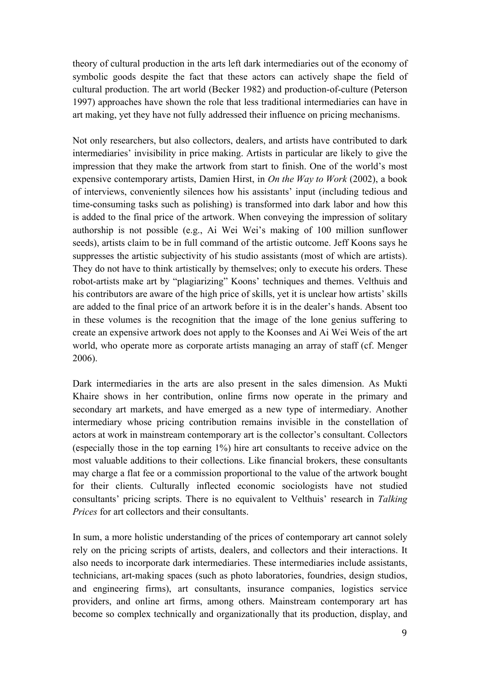theory of cultural production in the arts left dark intermediaries out of the economy of symbolic goods despite the fact that these actors can actively shape the field of cultural production. The art world (Becker 1982) and production-of-culture (Peterson 1997) approaches have shown the role that less traditional intermediaries can have in art making, yet they have not fully addressed their influence on pricing mechanisms.

Not only researchers, but also collectors, dealers, and artists have contributed to dark intermediaries' invisibility in price making. Artists in particular are likely to give the impression that they make the artwork from start to finish. One of the world's most expensive contemporary artists, Damien Hirst, in *On the Way to Work* (2002), a book of interviews, conveniently silences how his assistants' input (including tedious and time-consuming tasks such as polishing) is transformed into dark labor and how this is added to the final price of the artwork. When conveying the impression of solitary authorship is not possible (e.g., Ai Wei Wei's making of 100 million sunflower seeds), artists claim to be in full command of the artistic outcome. Jeff Koons says he suppresses the artistic subjectivity of his studio assistants (most of which are artists). They do not have to think artistically by themselves; only to execute his orders. These robot-artists make art by "plagiarizing" Koons' techniques and themes. Velthuis and his contributors are aware of the high price of skills, yet it is unclear how artists' skills are added to the final price of an artwork before it is in the dealer's hands. Absent too in these volumes is the recognition that the image of the lone genius suffering to create an expensive artwork does not apply to the Koonses and Ai Wei Weis of the art world, who operate more as corporate artists managing an array of staff (cf. Menger 2006).

Dark intermediaries in the arts are also present in the sales dimension. As Mukti Khaire shows in her contribution, online firms now operate in the primary and secondary art markets, and have emerged as a new type of intermediary. Another intermediary whose pricing contribution remains invisible in the constellation of actors at work in mainstream contemporary art is the collector's consultant. Collectors (especially those in the top earning 1%) hire art consultants to receive advice on the most valuable additions to their collections. Like financial brokers, these consultants may charge a flat fee or a commission proportional to the value of the artwork bought for their clients. Culturally inflected economic sociologists have not studied consultants' pricing scripts. There is no equivalent to Velthuis' research in *Talking Prices* for art collectors and their consultants.

In sum, a more holistic understanding of the prices of contemporary art cannot solely rely on the pricing scripts of artists, dealers, and collectors and their interactions. It also needs to incorporate dark intermediaries. These intermediaries include assistants, technicians, art-making spaces (such as photo laboratories, foundries, design studios, and engineering firms), art consultants, insurance companies, logistics service providers, and online art firms, among others. Mainstream contemporary art has become so complex technically and organizationally that its production, display, and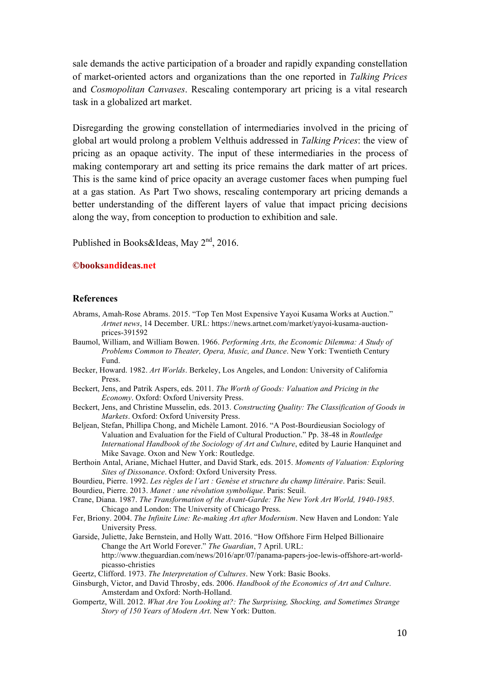sale demands the active participation of a broader and rapidly expanding constellation of market-oriented actors and organizations than the one reported in *Talking Prices* and *Cosmopolitan Canvases*. Rescaling contemporary art pricing is a vital research task in a globalized art market.

Disregarding the growing constellation of intermediaries involved in the pricing of global art would prolong a problem Velthuis addressed in *Talking Prices*: the view of pricing as an opaque activity. The input of these intermediaries in the process of making contemporary art and setting its price remains the dark matter of art prices. This is the same kind of price opacity an average customer faces when pumping fuel at a gas station. As Part Two shows, rescaling contemporary art pricing demands a better understanding of the different layers of value that impact pricing decisions along the way, from conception to production to exhibition and sale.

Published in Books&Ideas, May  $2<sup>nd</sup>$ , 2016.

#### **©booksandideas.net**

#### **References**

- Abrams, Amah-Rose Abrams. 2015. "Top Ten Most Expensive Yayoi Kusama Works at Auction." *Artnet news*, 14 December. URL: https://news.artnet.com/market/yayoi-kusama-auctionprices-391592
- Baumol, William, and William Bowen. 1966. *Performing Arts, the Economic Dilemma: A Study of Problems Common to Theater, Opera, Music, and Dance*. New York: Twentieth Century Fund.
- Becker, Howard. 1982. *Art Worlds*. Berkeley, Los Angeles, and London: University of California Press.
- Beckert, Jens, and Patrik Aspers, eds. 2011. *The Worth of Goods: Valuation and Pricing in the Economy*. Oxford: Oxford University Press.
- Beckert, Jens, and Christine Musselin, eds. 2013. *Constructing Quality: The Classification of Goods in Markets*. Oxford: Oxford University Press.
- Beljean, Stefan, Phillipa Chong, and Michèle Lamont. 2016. "A Post-Bourdieusian Sociology of Valuation and Evaluation for the Field of Cultural Production." Pp. 38-48 in *Routledge International Handbook of the Sociology of Art and Culture*, edited by Laurie Hanquinet and Mike Savage. Oxon and New York: Routledge.
- Berthoin Antal, Ariane, Michael Hutter, and David Stark, eds. 2015. *Moments of Valuation: Exploring Sites of Dissonance*. Oxford: Oxford University Press.
- Bourdieu, Pierre. 1992. *Les règles de l'art : Genèse et structure du champ littéraire*. Paris: Seuil.
- Bourdieu, Pierre. 2013. *Manet : une révolution symbolique*. Paris: Seuil.
- Crane, Diana. 1987. *The Transformation of the Avant-Garde: The New York Art World, 1940-1985*. Chicago and London: The University of Chicago Press.
- Fer, Briony. 2004. *The Infinite Line: Re-making Art after Modernism*. New Haven and London: Yale University Press.
- Garside, Juliette, Jake Bernstein, and Holly Watt. 2016. "How Offshore Firm Helped Billionaire Change the Art World Forever." *The Guardian*, 7 April. URL: http://www.theguardian.com/news/2016/apr/07/panama-papers-joe-lewis-offshore-art-worldpicasso-christies
- Geertz, Clifford. 1973. *The Interpretation of Cultures*. New York: Basic Books.
- Ginsburgh, Victor, and David Throsby, eds. 2006. *Handbook of the Economics of Art and Culture*. Amsterdam and Oxford: North-Holland.
- Gompertz, Will. 2012. *What Are You Looking at?: The Surprising, Shocking, and Sometimes Strange Story of 150 Years of Modern Art*. New York: Dutton.